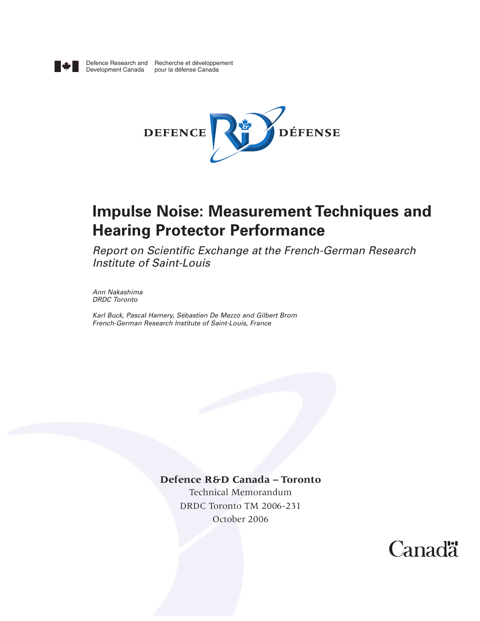

Defence Research and Recherche et développement Development Canada pour la défense Canada



# **Impulse Noise: Measurement Techniques and Hearing Protector Performance**

Report on Scientific Exchange at the French-German Research Institute of Saint-Louis

Ann Nakashima DRDC Toronto

Karl Buck, Pascal Hamery, Sébastien De Mezzo and Gilbert Brom French-German Research Institute of Saint-Louis, France

### **Defence R&D Canada – Toronto**

Technical Memorandum DRDC Toronto TM 2006-231 October 2006

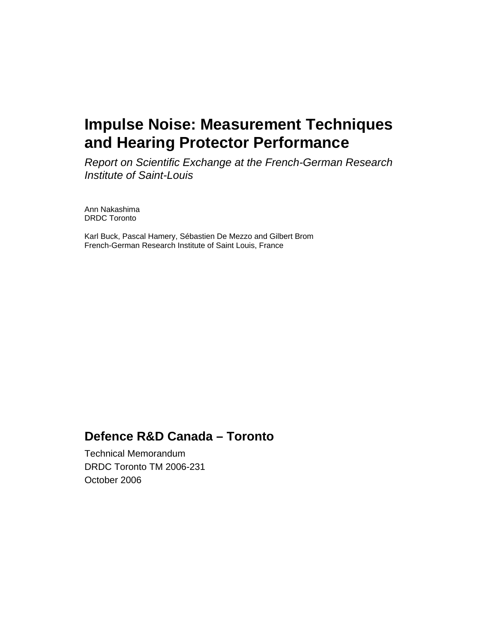# **Impulse Noise: Measurement Techniques and Hearing Protector Performance**

*Report on Scientific Exchange at the French-German Research Institute of Saint-Louis* 

Ann Nakashima DRDC Toronto

Karl Buck, Pascal Hamery, Sébastien De Mezzo and Gilbert Brom French-German Research Institute of Saint Louis, France

# **Defence R&D Canada – Toronto**

Technical Memorandum DRDC Toronto TM 2006-231 October 2006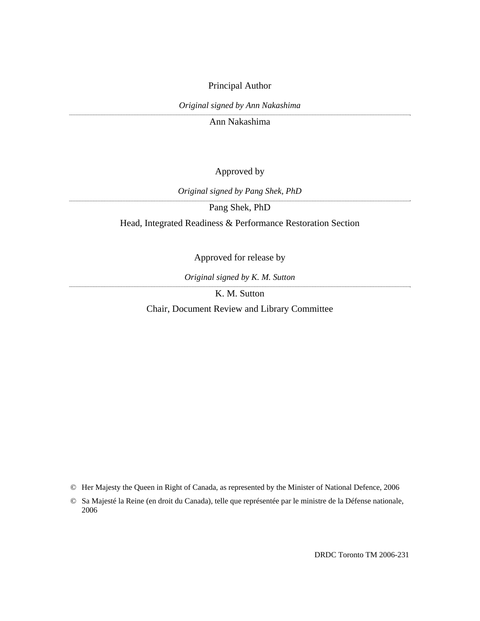### Principal Author

*Original signed by Ann Nakashima*

Ann Nakashima

### Approved by

### *Original signed by Pang Shek, PhD*

Pang Shek, PhD

### Head, Integrated Readiness & Performance Restoration Section

Approved for release by

*Original signed by K. M. Sutton* 

K. M. Sutton

Chair, Document Review and Library Committee

© Her Majesty the Queen in Right of Canada, as represented by the Minister of National Defence, 2006

© Sa Majesté la Reine (en droit du Canada), telle que représentée par le ministre de la Défense nationale, 2006

DRDC Toronto TM 2006-231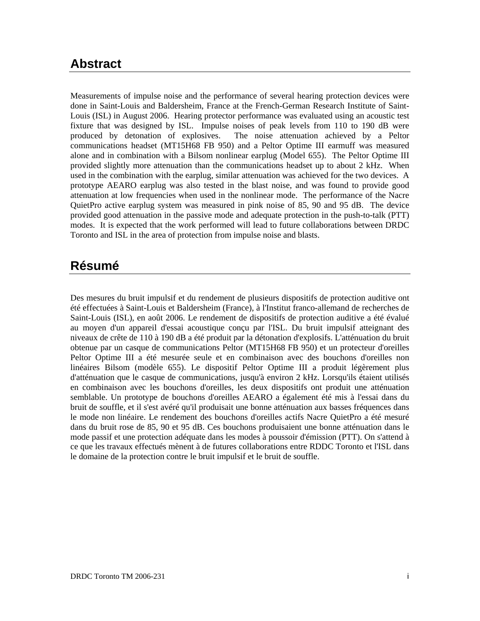## **Abstract**

Measurements of impulse noise and the performance of several hearing protection devices were done in Saint-Louis and Baldersheim, France at the French-German Research Institute of Saint-Louis (ISL) in August 2006. Hearing protector performance was evaluated using an acoustic test fixture that was designed by ISL. Impulse noises of peak levels from 110 to 190 dB were produced by detonation of explosives. The noise attenuation achieved by a Peltor communications headset (MT15H68 FB 950) and a Peltor Optime III earmuff was measured alone and in combination with a Bilsom nonlinear earplug (Model 655). The Peltor Optime III provided slightly more attenuation than the communications headset up to about 2 kHz. When used in the combination with the earplug, similar attenuation was achieved for the two devices. A prototype AEARO earplug was also tested in the blast noise, and was found to provide good attenuation at low frequencies when used in the nonlinear mode. The performance of the Nacre QuietPro active earplug system was measured in pink noise of 85, 90 and 95 dB. The device provided good attenuation in the passive mode and adequate protection in the push-to-talk (PTT) modes. It is expected that the work performed will lead to future collaborations between DRDC Toronto and ISL in the area of protection from impulse noise and blasts.

# **Résumé**

Des mesures du bruit impulsif et du rendement de plusieurs dispositifs de protection auditive ont été effectuées à Saint-Louis et Baldersheim (France), à l'Institut franco-allemand de recherches de Saint-Louis (ISL), en août 2006. Le rendement de dispositifs de protection auditive a été évalué au moyen d'un appareil d'essai acoustique conçu par l'ISL. Du bruit impulsif atteignant des niveaux de crête de 110 à 190 dB a été produit par la détonation d'explosifs. L'atténuation du bruit obtenue par un casque de communications Peltor (MT15H68 FB 950) et un protecteur d'oreilles Peltor Optime III a été mesurée seule et en combinaison avec des bouchons d'oreilles non linéaires Bilsom (modèle 655). Le dispositif Peltor Optime III a produit légèrement plus d'atténuation que le casque de communications, jusqu'à environ 2 kHz. Lorsqu'ils étaient utilisés en combinaison avec les bouchons d'oreilles, les deux dispositifs ont produit une atténuation semblable. Un prototype de bouchons d'oreilles AEARO a également été mis à l'essai dans du bruit de souffle, et il s'est avéré qu'il produisait une bonne atténuation aux basses fréquences dans le mode non linéaire. Le rendement des bouchons d'oreilles actifs Nacre QuietPro a été mesuré dans du bruit rose de 85, 90 et 95 dB. Ces bouchons produisaient une bonne atténuation dans le mode passif et une protection adéquate dans les modes à poussoir d'émission (PTT). On s'attend à ce que les travaux effectués mènent à de futures collaborations entre RDDC Toronto et l'ISL dans le domaine de la protection contre le bruit impulsif et le bruit de souffle.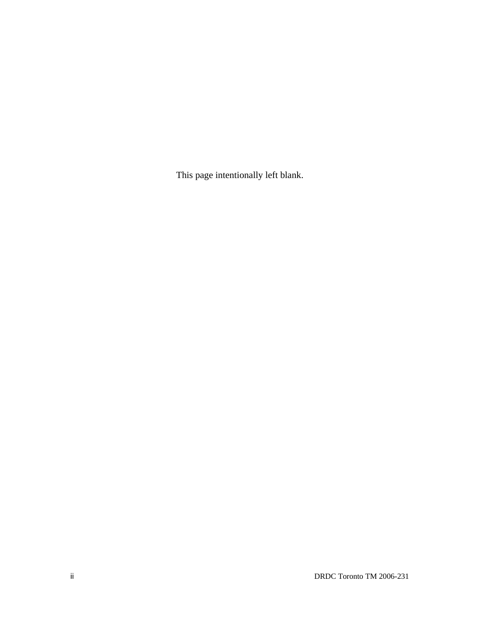This page intentionally left blank.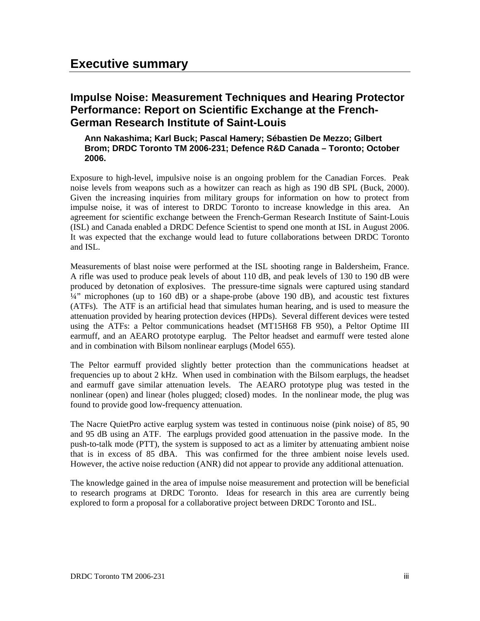### **Impulse Noise: Measurement Techniques and Hearing Protector Performance: Report on Scientific Exchange at the French-German Research Institute of Saint-Louis**

### **Ann Nakashima; Karl Buck; Pascal Hamery; Sébastien De Mezzo; Gilbert Brom; DRDC Toronto TM 2006-231; Defence R&D Canada – Toronto; October 2006.**

Exposure to high-level, impulsive noise is an ongoing problem for the Canadian Forces. Peak noise levels from weapons such as a howitzer can reach as high as 190 dB SPL (Buck, 2000). Given the increasing inquiries from military groups for information on how to protect from impulse noise, it was of interest to DRDC Toronto to increase knowledge in this area. An agreement for scientific exchange between the French-German Research Institute of Saint-Louis (ISL) and Canada enabled a DRDC Defence Scientist to spend one month at ISL in August 2006. It was expected that the exchange would lead to future collaborations between DRDC Toronto and ISL.

Measurements of blast noise were performed at the ISL shooting range in Baldersheim, France. A rifle was used to produce peak levels of about 110 dB, and peak levels of 130 to 190 dB were produced by detonation of explosives. The pressure-time signals were captured using standard  $\frac{1}{4}$ " microphones (up to 160 dB) or a shape-probe (above 190 dB), and acoustic test fixtures (ATFs). The ATF is an artificial head that simulates human hearing, and is used to measure the attenuation provided by hearing protection devices (HPDs). Several different devices were tested using the ATFs: a Peltor communications headset (MT15H68 FB 950), a Peltor Optime III earmuff, and an AEARO prototype earplug. The Peltor headset and earmuff were tested alone and in combination with Bilsom nonlinear earplugs (Model 655).

The Peltor earmuff provided slightly better protection than the communications headset at frequencies up to about 2 kHz. When used in combination with the Bilsom earplugs, the headset and earmuff gave similar attenuation levels. The AEARO prototype plug was tested in the nonlinear (open) and linear (holes plugged; closed) modes. In the nonlinear mode, the plug was found to provide good low-frequency attenuation.

The Nacre QuietPro active earplug system was tested in continuous noise (pink noise) of 85, 90 and 95 dB using an ATF. The earplugs provided good attenuation in the passive mode. In the push-to-talk mode (PTT), the system is supposed to act as a limiter by attenuating ambient noise that is in excess of 85 dBA. This was confirmed for the three ambient noise levels used. However, the active noise reduction (ANR) did not appear to provide any additional attenuation.

The knowledge gained in the area of impulse noise measurement and protection will be beneficial to research programs at DRDC Toronto. Ideas for research in this area are currently being explored to form a proposal for a collaborative project between DRDC Toronto and ISL.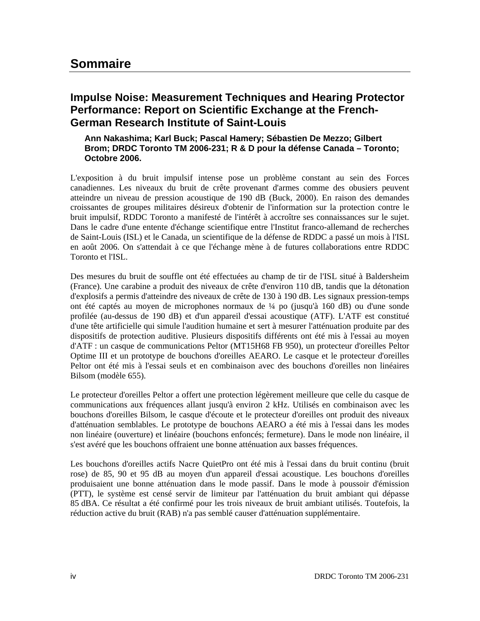### **Impulse Noise: Measurement Techniques and Hearing Protector Performance: Report on Scientific Exchange at the French-German Research Institute of Saint-Louis**

### **Ann Nakashima; Karl Buck; Pascal Hamery; Sébastien De Mezzo; Gilbert Brom; DRDC Toronto TM 2006-231; R & D pour la défense Canada – Toronto; Octobre 2006.**

L'exposition à du bruit impulsif intense pose un problème constant au sein des Forces canadiennes. Les niveaux du bruit de crête provenant d'armes comme des obusiers peuvent atteindre un niveau de pression acoustique de 190 dB (Buck, 2000). En raison des demandes croissantes de groupes militaires désireux d'obtenir de l'information sur la protection contre le bruit impulsif, RDDC Toronto a manifesté de l'intérêt à accroître ses connaissances sur le sujet. Dans le cadre d'une entente d'échange scientifique entre l'Institut franco-allemand de recherches de Saint-Louis (ISL) et le Canada, un scientifique de la défense de RDDC a passé un mois à l'ISL en août 2006. On s'attendait à ce que l'échange mène à de futures collaborations entre RDDC Toronto et l'ISL.

Des mesures du bruit de souffle ont été effectuées au champ de tir de l'ISL situé à Baldersheim (France). Une carabine a produit des niveaux de crête d'environ 110 dB, tandis que la détonation d'explosifs a permis d'atteindre des niveaux de crête de 130 à 190 dB. Les signaux pression-temps ont été captés au moyen de microphones normaux de ¼ po (jusqu'à 160 dB) ou d'une sonde profilée (au-dessus de 190 dB) et d'un appareil d'essai acoustique (ATF). L'ATF est constitué d'une tête artificielle qui simule l'audition humaine et sert à mesurer l'atténuation produite par des dispositifs de protection auditive. Plusieurs dispositifs différents ont été mis à l'essai au moyen d'ATF : un casque de communications Peltor (MT15H68 FB 950), un protecteur d'oreilles Peltor Optime III et un prototype de bouchons d'oreilles AEARO. Le casque et le protecteur d'oreilles Peltor ont été mis à l'essai seuls et en combinaison avec des bouchons d'oreilles non linéaires Bilsom (modèle 655).

Le protecteur d'oreilles Peltor a offert une protection légèrement meilleure que celle du casque de communications aux fréquences allant jusqu'à environ 2 kHz. Utilisés en combinaison avec les bouchons d'oreilles Bilsom, le casque d'écoute et le protecteur d'oreilles ont produit des niveaux d'atténuation semblables. Le prototype de bouchons AEARO a été mis à l'essai dans les modes non linéaire (ouverture) et linéaire (bouchons enfoncés; fermeture). Dans le mode non linéaire, il s'est avéré que les bouchons offraient une bonne atténuation aux basses fréquences.

Les bouchons d'oreilles actifs Nacre QuietPro ont été mis à l'essai dans du bruit continu (bruit rose) de 85, 90 et 95 dB au moyen d'un appareil d'essai acoustique. Les bouchons d'oreilles produisaient une bonne atténuation dans le mode passif. Dans le mode à poussoir d'émission (PTT), le système est censé servir de limiteur par l'atténuation du bruit ambiant qui dépasse 85 dBA. Ce résultat a été confirmé pour les trois niveaux de bruit ambiant utilisés. Toutefois, la réduction active du bruit (RAB) n'a pas semblé causer d'atténuation supplémentaire.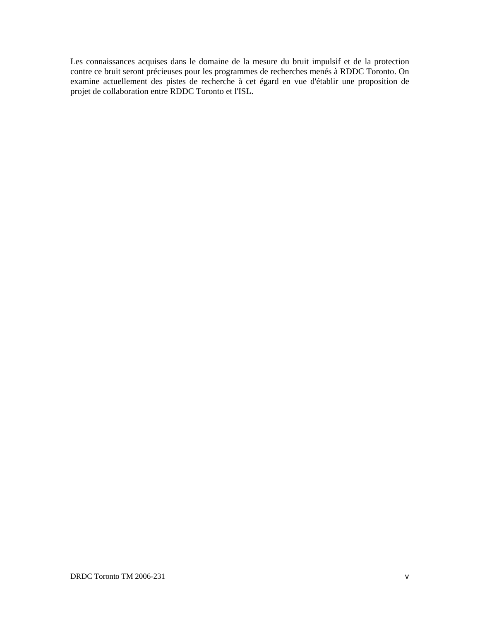Les connaissances acquises dans le domaine de la mesure du bruit impulsif et de la protection contre ce bruit seront précieuses pour les programmes de recherches menés à RDDC Toronto. On examine actuellement des pistes de recherche à cet égard en vue d'établir une proposition de projet de collaboration entre RDDC Toronto et l'ISL.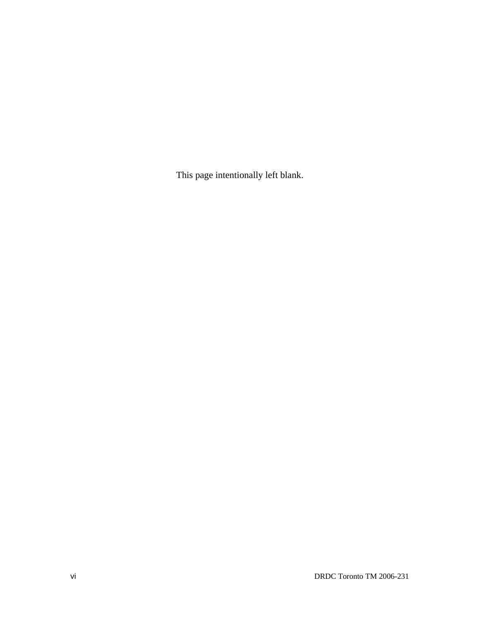This page intentionally left blank.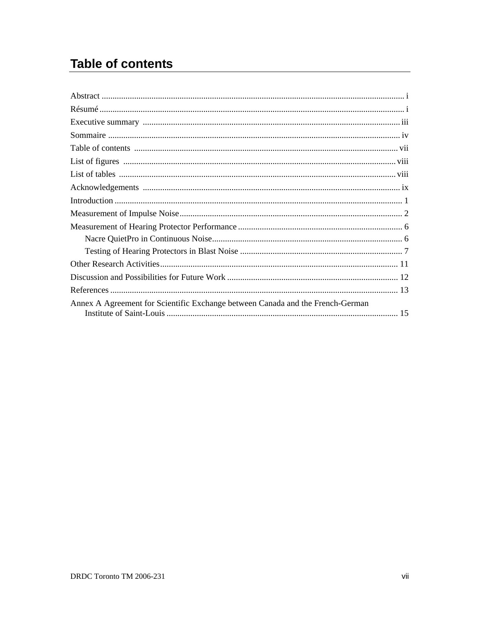# **Table of contents**

| Annex A Agreement for Scientific Exchange between Canada and the French-German |
|--------------------------------------------------------------------------------|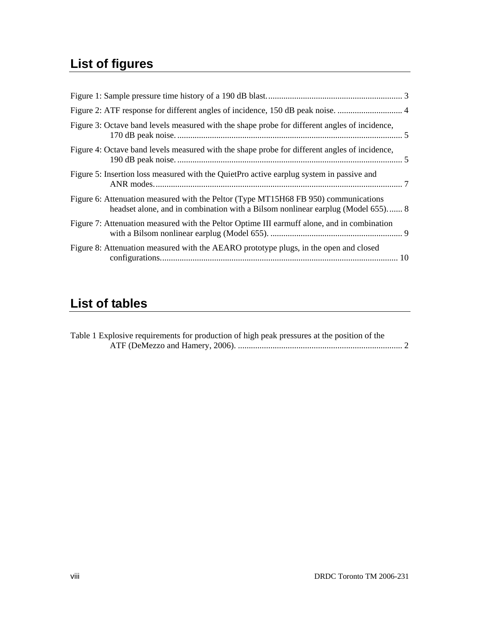# **List of figures**

| Figure 2: ATF response for different angles of incidence, 150 dB peak noise.  4                                                                                        |  |
|------------------------------------------------------------------------------------------------------------------------------------------------------------------------|--|
| Figure 3: Octave band levels measured with the shape probe for different angles of incidence,                                                                          |  |
| Figure 4: Octave band levels measured with the shape probe for different angles of incidence,                                                                          |  |
| Figure 5: Insertion loss measured with the QuietPro active earplug system in passive and                                                                               |  |
| Figure 6: Attenuation measured with the Peltor (Type MT15H68 FB 950) communications<br>headset alone, and in combination with a Bilsom nonlinear earplug (Model 655) 8 |  |
| Figure 7: Attenuation measured with the Peltor Optime III earmuff alone, and in combination                                                                            |  |
| Figure 8: Attenuation measured with the AEARO prototype plugs, in the open and closed                                                                                  |  |

# **List of tables**

| Table 1 Explosive requirements for production of high peak pressures at the position of the |  |
|---------------------------------------------------------------------------------------------|--|
|                                                                                             |  |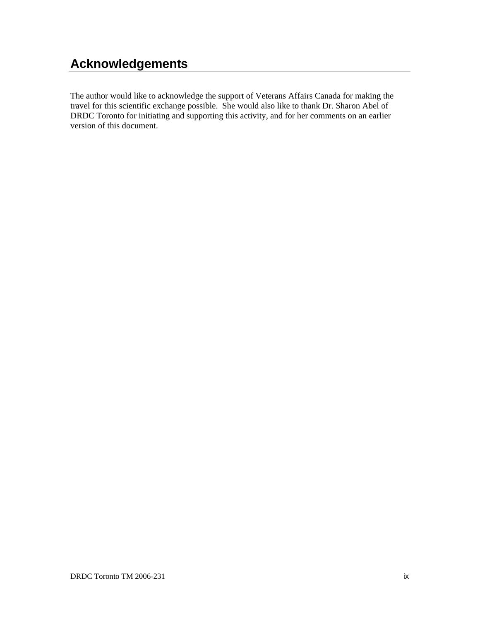# **Acknowledgements**

The author would like to acknowledge the support of Veterans Affairs Canada for making the travel for this scientific exchange possible. She would also like to thank Dr. Sharon Abel of DRDC Toronto for initiating and supporting this activity, and for her comments on an earlier version of this document.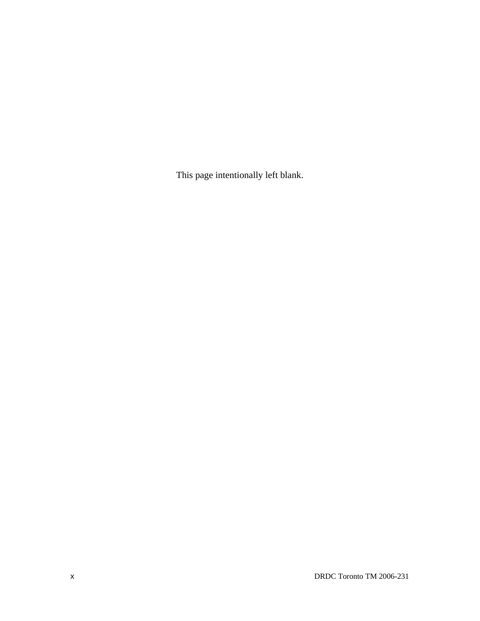This page intentionally left blank.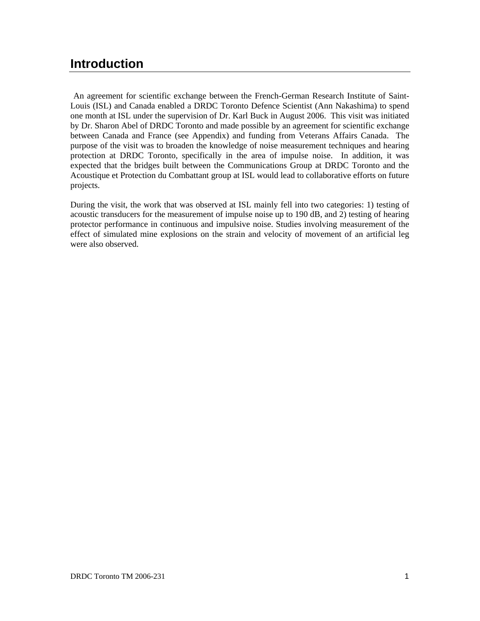### **Introduction**

 An agreement for scientific exchange between the French-German Research Institute of Saint-Louis (ISL) and Canada enabled a DRDC Toronto Defence Scientist (Ann Nakashima) to spend one month at ISL under the supervision of Dr. Karl Buck in August 2006. This visit was initiated by Dr. Sharon Abel of DRDC Toronto and made possible by an agreement for scientific exchange between Canada and France (see Appendix) and funding from Veterans Affairs Canada. The purpose of the visit was to broaden the knowledge of noise measurement techniques and hearing protection at DRDC Toronto, specifically in the area of impulse noise. In addition, it was expected that the bridges built between the Communications Group at DRDC Toronto and the Acoustique et Protection du Combattant group at ISL would lead to collaborative efforts on future projects.

During the visit, the work that was observed at ISL mainly fell into two categories: 1) testing of acoustic transducers for the measurement of impulse noise up to 190 dB, and 2) testing of hearing protector performance in continuous and impulsive noise. Studies involving measurement of the effect of simulated mine explosions on the strain and velocity of movement of an artificial leg were also observed.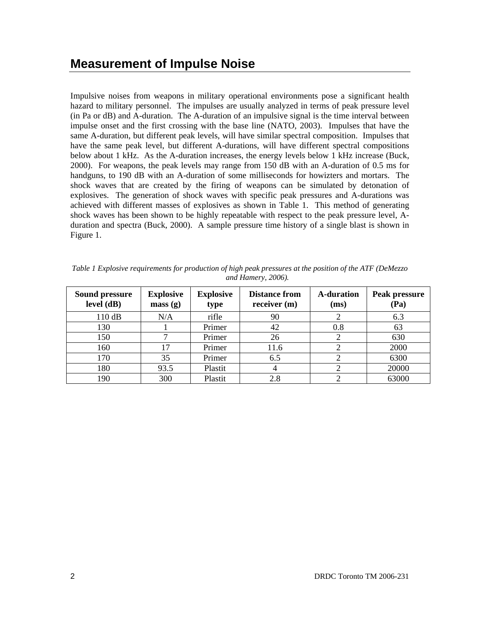Impulsive noises from weapons in military operational environments pose a significant health hazard to military personnel. The impulses are usually analyzed in terms of peak pressure level (in Pa or dB) and A-duration. The A-duration of an impulsive signal is the time interval between impulse onset and the first crossing with the base line (NATO, 2003). Impulses that have the same A-duration, but different peak levels, will have similar spectral composition. Impulses that have the same peak level, but different A-durations, will have different spectral compositions below about 1 kHz. As the A-duration increases, the energy levels below 1 kHz increase (Buck, 2000). For weapons, the peak levels may range from 150 dB with an A-duration of 0.5 ms for handguns, to 190 dB with an A-duration of some milliseconds for howizters and mortars. The shock waves that are created by the firing of weapons can be simulated by detonation of explosives. The generation of shock waves with specific peak pressures and A-durations was achieved with different masses of explosives as shown in Table 1. This method of generating shock waves has been shown to be highly repeatable with respect to the peak pressure level, Aduration and spectra (Buck, 2000). A sample pressure time history of a single blast is shown in Figure 1.

| Sound pressure<br>level(dB) | <b>Explosive</b><br>mass(g) | <b>Explosive</b><br>type | <b>Distance from</b><br>receiver (m) | A-duration<br>(ms) | Peak pressure<br>(Pa) |
|-----------------------------|-----------------------------|--------------------------|--------------------------------------|--------------------|-----------------------|
| 110 dB                      | N/A                         | rifle                    | 90                                   |                    | 6.3                   |
| 130                         |                             | Primer                   | 42                                   | 0.8                | 63                    |
| 150                         |                             | Primer                   | 26                                   |                    | 630                   |
| 160                         | 17                          | Primer                   | 11.6                                 |                    | 2000                  |
| 170                         | 35                          | Primer                   | 6.5                                  |                    | 6300                  |
| 180                         | 93.5                        | Plastit                  |                                      |                    | 20000                 |
| 190                         | 300                         | Plastit                  | 2.8                                  |                    | 63000                 |

*Table 1 Explosive requirements for production of high peak pressures at the position of the ATF (DeMezzo and Hamery, 2006).*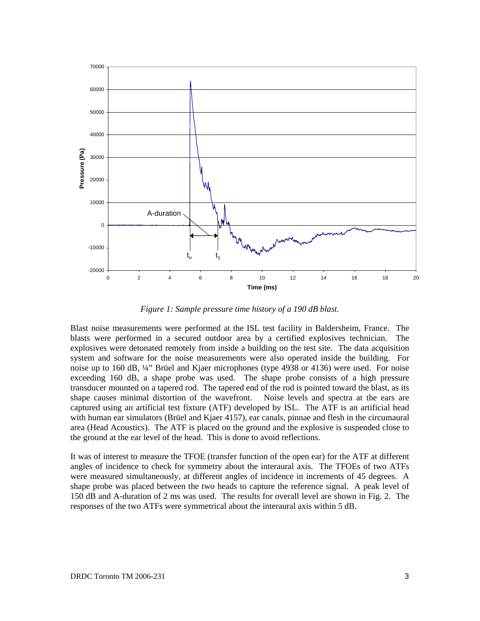

*Figure 1: Sample pressure time history of a 190 dB blast.* 

Blast noise measurements were performed at the ISL test facility in Baldersheim, France. The blasts were performed in a secured outdoor area by a certified explosives technician. The explosives were detonated remotely from inside a building on the test site. The data acquisition system and software for the noise measurements were also operated inside the building. For noise up to 160 dB, ¼" Brüel and Kjaer microphones (type 4938 or 4136) were used. For noise exceeding 160 dB, a shape probe was used. The shape probe consists of a high pressure transducer mounted on a tapered rod. The tapered end of the rod is pointed toward the blast, as its shape causes minimal distortion of the wavefront. Noise levels and spectra at the ears are captured using an artificial test fixture (ATF) developed by ISL. The ATF is an artificial head with human ear simulators (Brüel and Kjaer 4157), ear canals, pinnae and flesh in the circumaural area (Head Acoustics). The ATF is placed on the ground and the explosive is suspended close to the ground at the ear level of the head. This is done to avoid reflections.

It was of interest to measure the TFOE (transfer function of the open ear) for the ATF at different angles of incidence to check for symmetry about the interaural axis. The TFOEs of two ATFs were measured simultaneously, at different angles of incidence in increments of 45 degrees. A shape probe was placed between the two heads to capture the reference signal. A peak level of 150 dB and A-duration of 2 ms was used. The results for overall level are shown in Fig. 2. The responses of the two ATFs were symmetrical about the interaural axis within 5 dB.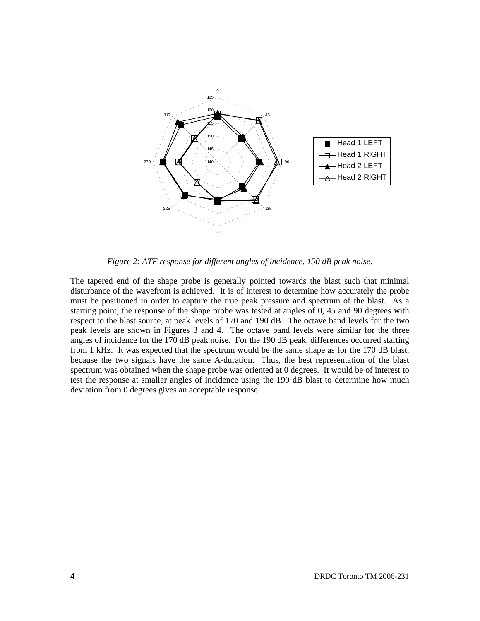

*Figure 2: ATF response for different angles of incidence, 150 dB peak noise.* 

The tapered end of the shape probe is generally pointed towards the blast such that minimal disturbance of the wavefront is achieved. It is of interest to determine how accurately the probe must be positioned in order to capture the true peak pressure and spectrum of the blast. As a starting point, the response of the shape probe was tested at angles of 0, 45 and 90 degrees with respect to the blast source, at peak levels of 170 and 190 dB. The octave band levels for the two peak levels are shown in Figures 3 and 4. The octave band levels were similar for the three angles of incidence for the 170 dB peak noise. For the 190 dB peak, differences occurred starting from 1 kHz. It was expected that the spectrum would be the same shape as for the 170 dB blast, because the two signals have the same A-duration. Thus, the best representation of the blast spectrum was obtained when the shape probe was oriented at 0 degrees. It would be of interest to test the response at smaller angles of incidence using the 190 dB blast to determine how much deviation from 0 degrees gives an acceptable response.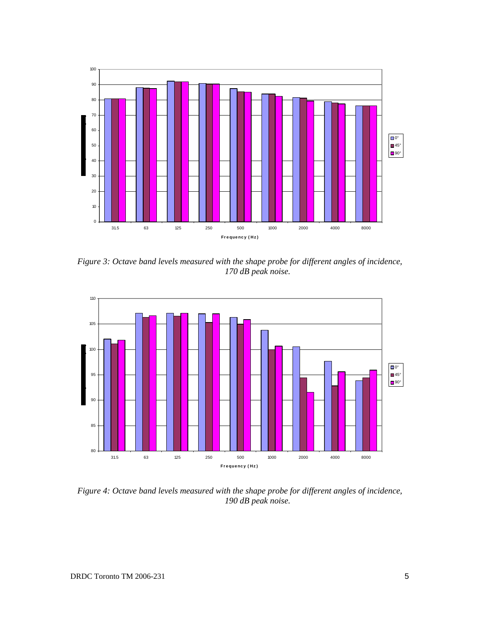

*Figure 3: Octave band levels measured with the shape probe for different angles of incidence, 170 dB peak noise.* 



*Figure 4: Octave band levels measured with the shape probe for different angles of incidence, 190 dB peak noise.*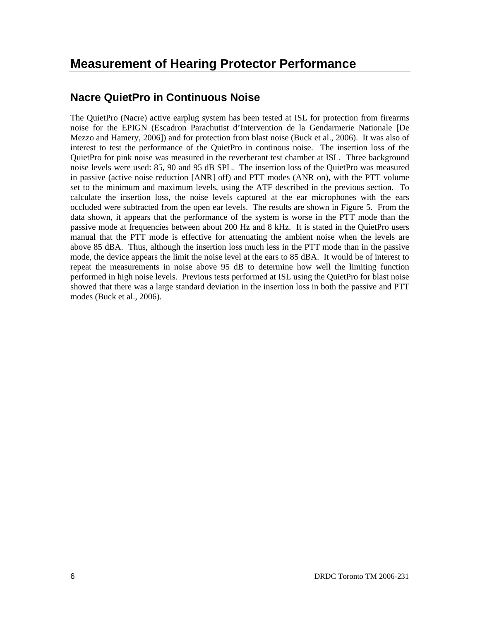### **Nacre QuietPro in Continuous Noise**

The QuietPro (Nacre) active earplug system has been tested at ISL for protection from firearms noise for the EPIGN (Escadron Parachutist d'Intervention de la Gendarmerie Nationale [De Mezzo and Hamery, 2006]) and for protection from blast noise (Buck et al., 2006). It was also of interest to test the performance of the QuietPro in continous noise. The insertion loss of the QuietPro for pink noise was measured in the reverberant test chamber at ISL. Three background noise levels were used: 85, 90 and 95 dB SPL. The insertion loss of the QuietPro was measured in passive (active noise reduction [ANR] off) and PTT modes (ANR on), with the PTT volume set to the minimum and maximum levels, using the ATF described in the previous section. To calculate the insertion loss, the noise levels captured at the ear microphones with the ears occluded were subtracted from the open ear levels. The results are shown in Figure 5. From the data shown, it appears that the performance of the system is worse in the PTT mode than the passive mode at frequencies between about 200 Hz and 8 kHz. It is stated in the QuietPro users manual that the PTT mode is effective for attenuating the ambient noise when the levels are above 85 dBA. Thus, although the insertion loss much less in the PTT mode than in the passive mode, the device appears the limit the noise level at the ears to 85 dBA. It would be of interest to repeat the measurements in noise above 95 dB to determine how well the limiting function performed in high noise levels. Previous tests performed at ISL using the QuietPro for blast noise showed that there was a large standard deviation in the insertion loss in both the passive and PTT modes (Buck et al., 2006).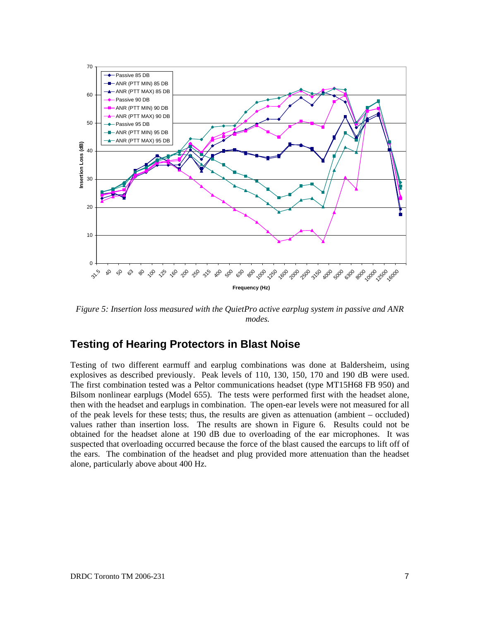

*Figure 5: Insertion loss measured with the QuietPro active earplug system in passive and ANR modes.* 

### **Testing of Hearing Protectors in Blast Noise**

Testing of two different earmuff and earplug combinations was done at Baldersheim, using explosives as described previously. Peak levels of 110, 130, 150, 170 and 190 dB were used. The first combination tested was a Peltor communications headset (type MT15H68 FB 950) and Bilsom nonlinear earplugs (Model 655). The tests were performed first with the headset alone, then with the headset and earplugs in combination. The open-ear levels were not measured for all of the peak levels for these tests; thus, the results are given as attenuation (ambient – occluded) values rather than insertion loss. The results are shown in Figure 6. Results could not be obtained for the headset alone at 190 dB due to overloading of the ear microphones. It was suspected that overloading occurred because the force of the blast caused the earcups to lift off of the ears. The combination of the headset and plug provided more attenuation than the headset alone, particularly above about 400 Hz.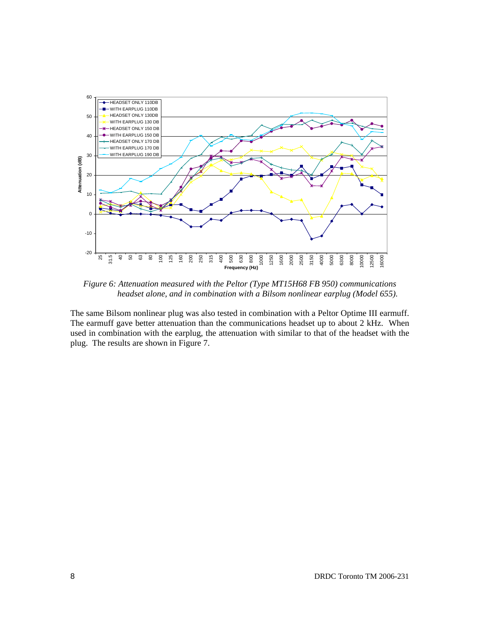

*Figure 6: Attenuation measured with the Peltor (Type MT15H68 FB 950) communications headset alone, and in combination with a Bilsom nonlinear earplug (Model 655).* 

The same Bilsom nonlinear plug was also tested in combination with a Peltor Optime III earmuff. The earmuff gave better attenuation than the communications headset up to about 2 kHz. When used in combination with the earplug, the attenuation with similar to that of the headset with the plug. The results are shown in Figure 7.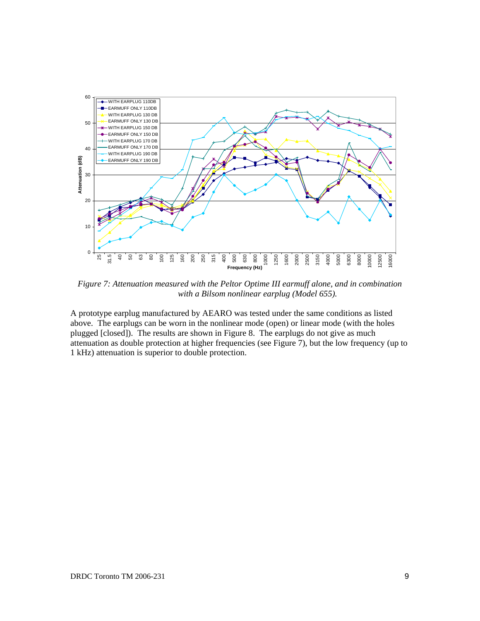

*Figure 7: Attenuation measured with the Peltor Optime III earmuff alone, and in combination with a Bilsom nonlinear earplug (Model 655).* 

A prototype earplug manufactured by AEARO was tested under the same conditions as listed above. The earplugs can be worn in the nonlinear mode (open) or linear mode (with the holes plugged [closed]). The results are shown in Figure 8. The earplugs do not give as much attenuation as double protection at higher frequencies (see Figure 7), but the low frequency (up to 1 kHz) attenuation is superior to double protection.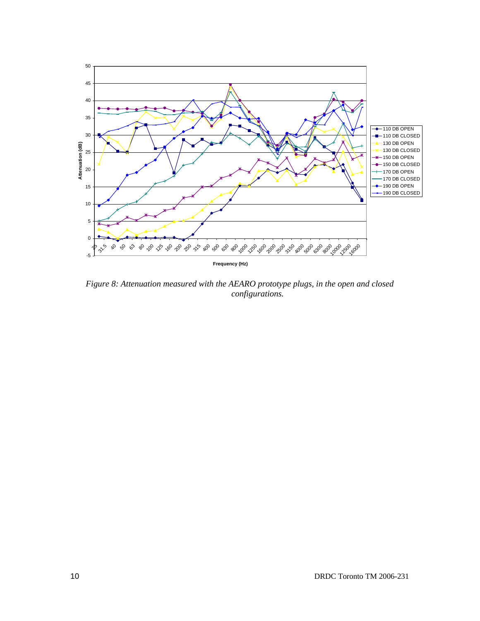

*Figure 8: Attenuation measured with the AEARO prototype plugs, in the open and closed configurations.*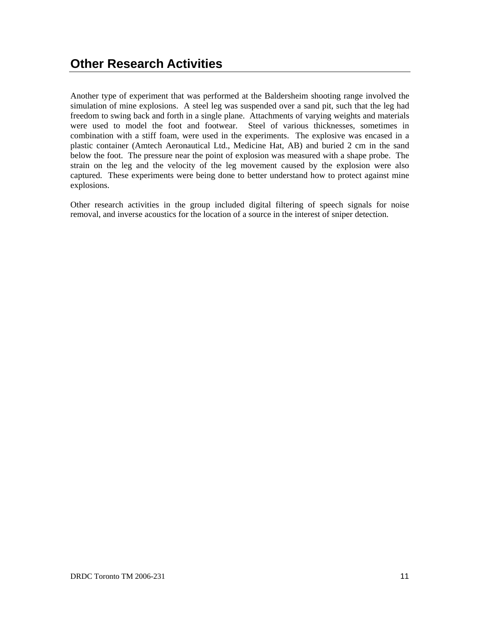Another type of experiment that was performed at the Baldersheim shooting range involved the simulation of mine explosions. A steel leg was suspended over a sand pit, such that the leg had freedom to swing back and forth in a single plane. Attachments of varying weights and materials were used to model the foot and footwear. Steel of various thicknesses, sometimes in combination with a stiff foam, were used in the experiments. The explosive was encased in a plastic container (Amtech Aeronautical Ltd., Medicine Hat, AB) and buried 2 cm in the sand below the foot. The pressure near the point of explosion was measured with a shape probe. The strain on the leg and the velocity of the leg movement caused by the explosion were also captured. These experiments were being done to better understand how to protect against mine explosions.

Other research activities in the group included digital filtering of speech signals for noise removal, and inverse acoustics for the location of a source in the interest of sniper detection.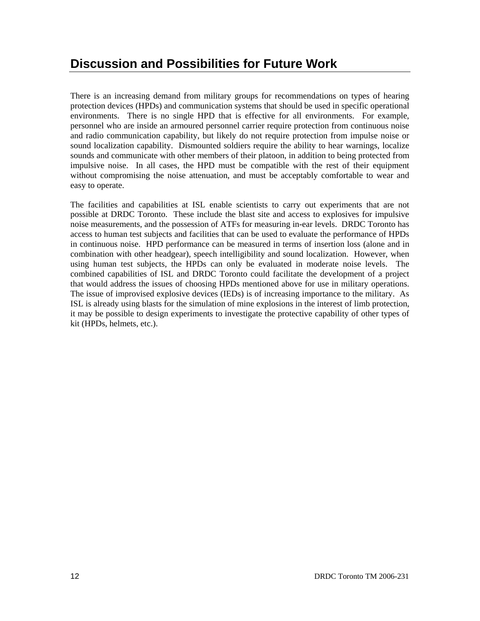# **Discussion and Possibilities for Future Work**

There is an increasing demand from military groups for recommendations on types of hearing protection devices (HPDs) and communication systems that should be used in specific operational environments. There is no single HPD that is effective for all environments. For example, personnel who are inside an armoured personnel carrier require protection from continuous noise and radio communication capability, but likely do not require protection from impulse noise or sound localization capability. Dismounted soldiers require the ability to hear warnings, localize sounds and communicate with other members of their platoon, in addition to being protected from impulsive noise. In all cases, the HPD must be compatible with the rest of their equipment without compromising the noise attenuation, and must be acceptably comfortable to wear and easy to operate.

The facilities and capabilities at ISL enable scientists to carry out experiments that are not possible at DRDC Toronto. These include the blast site and access to explosives for impulsive noise measurements, and the possession of ATFs for measuring in-ear levels. DRDC Toronto has access to human test subjects and facilities that can be used to evaluate the performance of HPDs in continuous noise. HPD performance can be measured in terms of insertion loss (alone and in combination with other headgear), speech intelligibility and sound localization. However, when using human test subjects, the HPDs can only be evaluated in moderate noise levels. The combined capabilities of ISL and DRDC Toronto could facilitate the development of a project that would address the issues of choosing HPDs mentioned above for use in military operations. The issue of improvised explosive devices (IEDs) is of increasing importance to the military. As ISL is already using blasts for the simulation of mine explosions in the interest of limb protection, it may be possible to design experiments to investigate the protective capability of other types of kit (HPDs, helmets, etc.).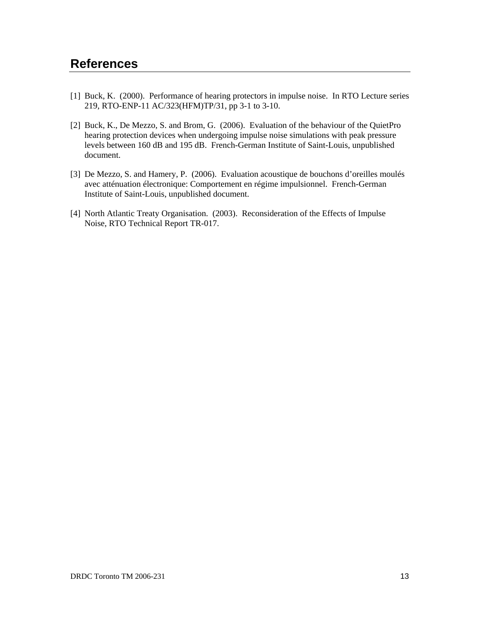- [1] Buck, K. (2000). Performance of hearing protectors in impulse noise. In RTO Lecture series 219, RTO-ENP-11 AC/323(HFM)TP/31, pp 3-1 to 3-10.
- [2] Buck, K., De Mezzo, S. and Brom, G. (2006). Evaluation of the behaviour of the QuietPro hearing protection devices when undergoing impulse noise simulations with peak pressure levels between 160 dB and 195 dB. French-German Institute of Saint-Louis, unpublished document.
- [3] De Mezzo, S. and Hamery, P. (2006). Evaluation acoustique de bouchons d'oreilles moulés avec atténuation électronique: Comportement en régime impulsionnel. French-German Institute of Saint-Louis, unpublished document.
- [4] North Atlantic Treaty Organisation. (2003). Reconsideration of the Effects of Impulse Noise, RTO Technical Report TR-017.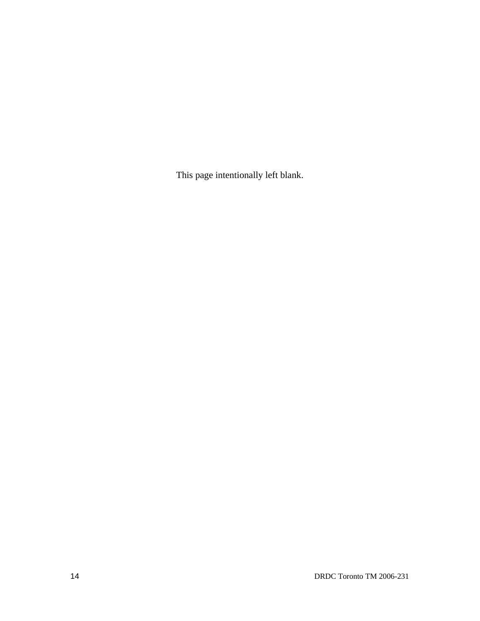This page intentionally left blank.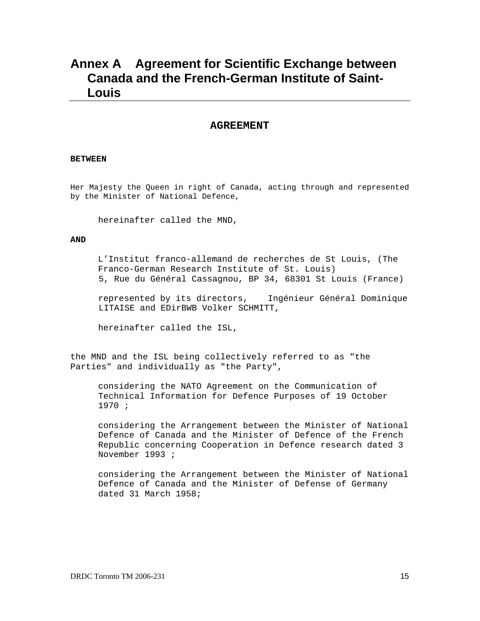### **Annex A Agreement for Scientific Exchange between Canada and the French-German Institute of Saint-Louis**

#### **AGREEMENT**

#### **BETWEEN**

Her Majesty the Queen in right of Canada, acting through and represented by the Minister of National Defence,

hereinafter called the MND,

#### **AND**

L'Institut franco-allemand de recherches de St Louis, (The Franco-German Research Institute of St. Louis) 5, Rue du Général Cassagnou, BP 34, 68301 St Louis (France)

represented by its directors, Ingénieur Général Dominique LITAISE and EDirBWB Volker SCHMITT,

hereinafter called the ISL,

the MND and the ISL being collectively referred to as "the Parties" and individually as "the Party",

considering the NATO Agreement on the Communication of Technical Information for Defence Purposes of 19 October 1970 ;

considering the Arrangement between the Minister of National Defence of Canada and the Minister of Defence of the French Republic concerning Cooperation in Defence research dated 3 November 1993 ;

considering the Arrangement between the Minister of National Defence of Canada and the Minister of Defense of Germany dated 31 March 1958;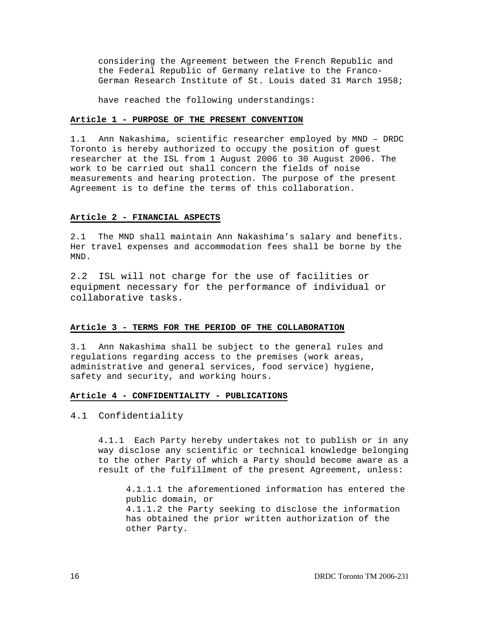considering the Agreement between the French Republic and the Federal Republic of Germany relative to the Franco-German Research Institute of St. Louis dated 31 March 1958;

have reached the following understandings:

#### **Article 1 - PURPOSE OF THE PRESENT CONVENTION**

1.1 Ann Nakashima, scientific researcher employed by MND – DRDC Toronto is hereby authorized to occupy the position of guest researcher at the ISL from 1 August 2006 to 30 August 2006. The work to be carried out shall concern the fields of noise measurements and hearing protection. The purpose of the present Agreement is to define the terms of this collaboration.

#### **Article 2 - FINANCIAL ASPECTS**

2.1 The MND shall maintain Ann Nakashima's salary and benefits. Her travel expenses and accommodation fees shall be borne by the MND.

2.2 ISL will not charge for the use of facilities or equipment necessary for the performance of individual or collaborative tasks.

#### **Article 3 - TERMS FOR THE PERIOD OF THE COLLABORATION**

3.1 Ann Nakashima shall be subject to the general rules and regulations regarding access to the premises (work areas, administrative and general services, food service) hygiene, safety and security, and working hours.

#### **Article 4 - CONFIDENTIALITY - PUBLICATIONS**

4.1 Confidentiality

4.1.1 Each Party hereby undertakes not to publish or in any way disclose any scientific or technical knowledge belonging to the other Party of which a Party should become aware as a result of the fulfillment of the present Agreement, unless:

4.1.1.1 the aforementioned information has entered the public domain, or 4.1.1.2 the Party seeking to disclose the information has obtained the prior written authorization of the other Party.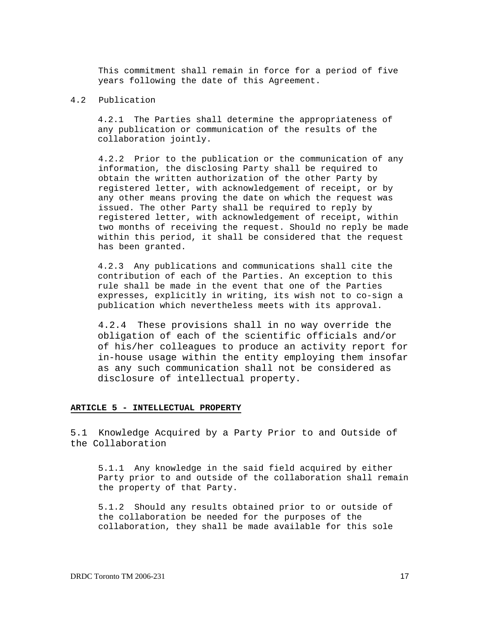This commitment shall remain in force for a period of five years following the date of this Agreement.

#### 4.2 Publication

4.2.1 The Parties shall determine the appropriateness of any publication or communication of the results of the collaboration jointly.

4.2.2 Prior to the publication or the communication of any information, the disclosing Party shall be required to obtain the written authorization of the other Party by registered letter, with acknowledgement of receipt, or by any other means proving the date on which the request was issued. The other Party shall be required to reply by registered letter, with acknowledgement of receipt, within two months of receiving the request. Should no reply be made within this period, it shall be considered that the request has been granted.

4.2.3 Any publications and communications shall cite the contribution of each of the Parties. An exception to this rule shall be made in the event that one of the Parties expresses, explicitly in writing, its wish not to co-sign a publication which nevertheless meets with its approval.

4.2.4 These provisions shall in no way override the obligation of each of the scientific officials and/or of his/her colleagues to produce an activity report for in-house usage within the entity employing them insofar as any such communication shall not be considered as disclosure of intellectual property.

#### **ARTICLE 5 - INTELLECTUAL PROPERTY**

5.1 Knowledge Acquired by a Party Prior to and Outside of the Collaboration

5.1.1 Any knowledge in the said field acquired by either Party prior to and outside of the collaboration shall remain the property of that Party.

5.1.2 Should any results obtained prior to or outside of the collaboration be needed for the purposes of the collaboration, they shall be made available for this sole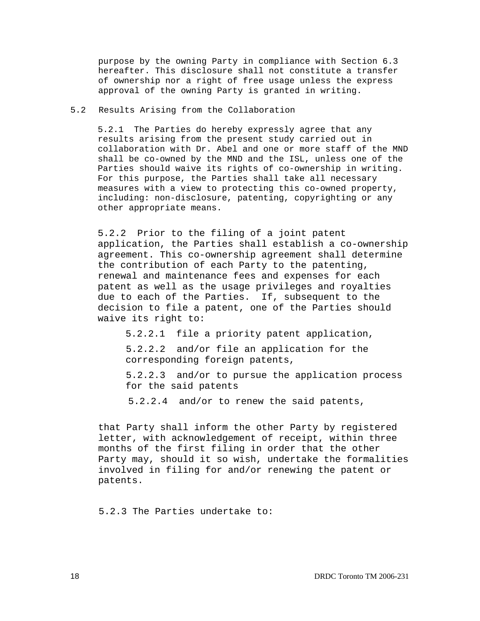purpose by the owning Party in compliance with Section 6.3 hereafter. This disclosure shall not constitute a transfer of ownership nor a right of free usage unless the express approval of the owning Party is granted in writing.

#### 5.2 Results Arising from the Collaboration

5.2.1 The Parties do hereby expressly agree that any results arising from the present study carried out in collaboration with Dr. Abel and one or more staff of the MND shall be co-owned by the MND and the ISL, unless one of the Parties should waive its rights of co-ownership in writing. For this purpose, the Parties shall take all necessary measures with a view to protecting this co-owned property, including: non-disclosure, patenting, copyrighting or any other appropriate means.

5.2.2 Prior to the filing of a joint patent application, the Parties shall establish a co-ownership agreement. This co-ownership agreement shall determine the contribution of each Party to the patenting, renewal and maintenance fees and expenses for each patent as well as the usage privileges and royalties due to each of the Parties. If, subsequent to the decision to file a patent, one of the Parties should waive its right to:

5.2.2.1 file a priority patent application,

5.2.2.2 and/or file an application for the corresponding foreign patents,

5.2.2.3 and/or to pursue the application process for the said patents

5.2.2.4 and/or to renew the said patents,

that Party shall inform the other Party by registered letter, with acknowledgement of receipt, within three months of the first filing in order that the other Party may, should it so wish, undertake the formalities involved in filing for and/or renewing the patent or patents.

5.2.3 The Parties undertake to: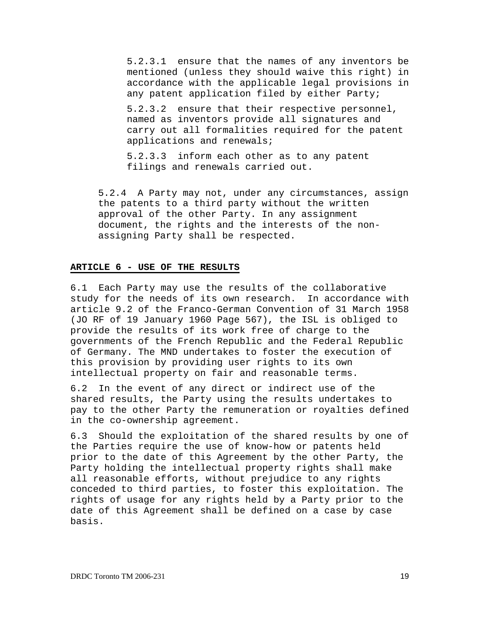5.2.3.1 ensure that the names of any inventors be mentioned (unless they should waive this right) in accordance with the applicable legal provisions in any patent application filed by either Party;

5.2.3.2 ensure that their respective personnel, named as inventors provide all signatures and carry out all formalities required for the patent applications and renewals;

5.2.3.3 inform each other as to any patent filings and renewals carried out.

5.2.4 A Party may not, under any circumstances, assign the patents to a third party without the written approval of the other Party. In any assignment document, the rights and the interests of the nonassigning Party shall be respected.

#### **ARTICLE 6 - USE OF THE RESULTS**

6.1 Each Party may use the results of the collaborative study for the needs of its own research. In accordance with article 9.2 of the Franco-German Convention of 31 March 1958 (JO RF of 19 January 1960 Page 567), the ISL is obliged to provide the results of its work free of charge to the governments of the French Republic and the Federal Republic of Germany. The MND undertakes to foster the execution of this provision by providing user rights to its own intellectual property on fair and reasonable terms.

6.2 In the event of any direct or indirect use of the shared results, the Party using the results undertakes to pay to the other Party the remuneration or royalties defined in the co-ownership agreement.

6.3 Should the exploitation of the shared results by one of the Parties require the use of know-how or patents held prior to the date of this Agreement by the other Party, the Party holding the intellectual property rights shall make all reasonable efforts, without prejudice to any rights conceded to third parties, to foster this exploitation. The rights of usage for any rights held by a Party prior to the date of this Agreement shall be defined on a case by case basis.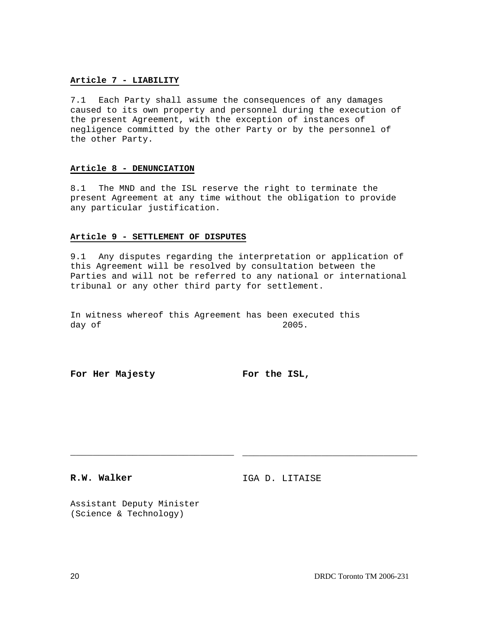#### **Article 7 - LIABILITY**

7.1 Each Party shall assume the consequences of any damages caused to its own property and personnel during the execution of the present Agreement, with the exception of instances of negligence committed by the other Party or by the personnel of the other Party.

#### **Article 8 - DENUNCIATION**

8.1 The MND and the ISL reserve the right to terminate the present Agreement at any time without the obligation to provide any particular justification.

#### **Article 9 - SETTLEMENT OF DISPUTES**

9.1 Any disputes regarding the interpretation or application of this Agreement will be resolved by consultation between the Parties and will not be referred to any national or international tribunal or any other third party for settlement.

In witness whereof this Agreement has been executed this day of 2005.

For Her Majesty **For the ISL**,

**R.W. Walker** IGA D. LITAISE

**\_\_\_\_\_\_\_\_\_\_\_\_\_\_\_\_\_\_\_\_\_\_\_\_\_\_\_\_\_** \_\_\_\_\_\_\_\_\_\_\_\_\_\_\_\_\_\_\_\_\_\_\_\_\_\_\_\_\_\_\_

Assistant Deputy Minister (Science & Technology)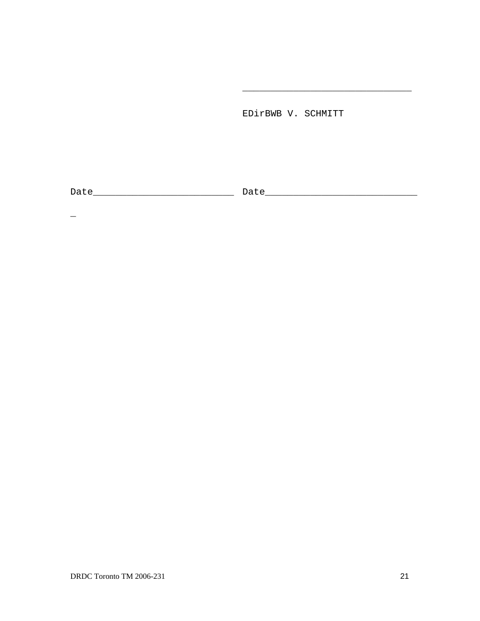EDirBWB V. SCHMITT

\_\_\_\_\_\_\_\_\_\_\_\_\_\_\_\_\_\_\_\_\_\_\_\_\_\_\_\_\_\_

Date\_\_\_\_\_\_\_\_\_\_\_\_\_\_\_\_\_\_\_\_\_\_\_\_\_ Date\_\_\_\_\_\_\_\_\_\_\_\_\_\_\_\_\_\_\_\_\_\_\_\_\_\_\_

 $\overline{\phantom{0}}$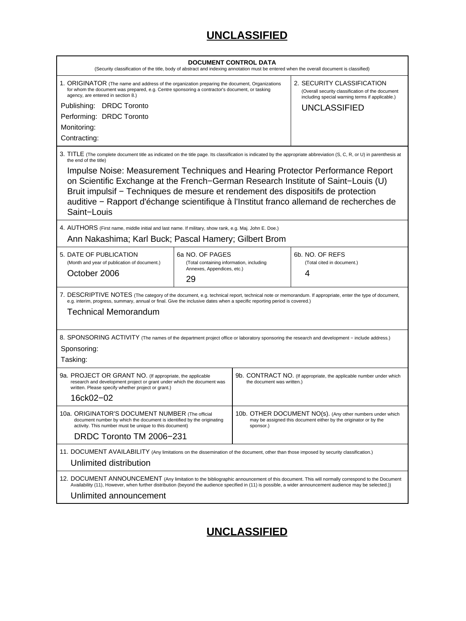## **UNCLASSIFIED**

| <b>DOCUMENT CONTROL DATA</b><br>(Security classification of the title, body of abstract and indexing annotation must be entered when the overall document is classified)                                                                                                                                                                                                                                                                                                                                                                                                |                                                                                                 |                                                                                                                                            |                                                                                                                                                          |  |  |
|-------------------------------------------------------------------------------------------------------------------------------------------------------------------------------------------------------------------------------------------------------------------------------------------------------------------------------------------------------------------------------------------------------------------------------------------------------------------------------------------------------------------------------------------------------------------------|-------------------------------------------------------------------------------------------------|--------------------------------------------------------------------------------------------------------------------------------------------|----------------------------------------------------------------------------------------------------------------------------------------------------------|--|--|
| 1. ORIGINATOR (The name and address of the organization preparing the document, Organizations<br>for whom the document was prepared, e.g. Centre sponsoring a contractor's document, or tasking<br>agency, are entered in section 8.)<br>Publishing: DRDC Toronto<br>Performing: DRDC Toronto<br>Monitoring:<br>Contracting:                                                                                                                                                                                                                                            |                                                                                                 |                                                                                                                                            | 2. SECURITY CLASSIFICATION<br>(Overall security classification of the document<br>including special warning terms if applicable.)<br><b>UNCLASSIFIED</b> |  |  |
| $3.$ TITLE (The complete document title as indicated on the title page. Its classification is indicated by the appropriate abbreviation (S, C, R, or U) in parenthesis at<br>the end of the title)<br>Impulse Noise: Measurement Techniques and Hearing Protector Performance Report<br>on Scientific Exchange at the French-German Research Institute of Saint-Louis (U)<br>Bruit impulsif - Techniques de mesure et rendement des dispositifs de protection<br>auditive - Rapport d'échange scientifique à l'Institut franco allemand de recherches de<br>Saint-Louis |                                                                                                 |                                                                                                                                            |                                                                                                                                                          |  |  |
| 4. AUTHORS (First name, middle initial and last name. If military, show rank, e.g. Maj. John E. Doe.)<br>Ann Nakashima; Karl Buck; Pascal Hamery; Gilbert Brom                                                                                                                                                                                                                                                                                                                                                                                                          |                                                                                                 |                                                                                                                                            |                                                                                                                                                          |  |  |
| 5. DATE OF PUBLICATION<br>(Month and year of publication of document.)<br>October 2006                                                                                                                                                                                                                                                                                                                                                                                                                                                                                  | 6a NO. OF PAGES<br>(Total containing information, including<br>Annexes, Appendices, etc.)<br>29 |                                                                                                                                            | 6b. NO. OF REFS<br>(Total cited in document.)<br>4                                                                                                       |  |  |
| 7. DESCRIPTIVE NOTES (The category of the document, e.g. technical report, technical note or memorandum. If appropriate, enter the type of document,<br>e.g. interim, progress, summary, annual or final. Give the inclusive dates when a specific reporting period is covered.)<br><b>Technical Memorandum</b>                                                                                                                                                                                                                                                         |                                                                                                 |                                                                                                                                            |                                                                                                                                                          |  |  |
| 8. SPONSORING ACTIVITY (The names of the department project office or laboratory sponsoring the research and development - include address.)<br>Sponsoring:<br>Tasking:                                                                                                                                                                                                                                                                                                                                                                                                 |                                                                                                 |                                                                                                                                            |                                                                                                                                                          |  |  |
| 9a. PROJECT OR GRANT NO. (If appropriate, the applicable<br>research and development project or grant under which the document was<br>written. Please specify whether project or grant.)<br>16ck02-02                                                                                                                                                                                                                                                                                                                                                                   |                                                                                                 | the document was written.)                                                                                                                 | 9b. CONTRACT NO. (If appropriate, the applicable number under which                                                                                      |  |  |
| 10a. ORIGINATOR'S DOCUMENT NUMBER (The official<br>document number by which the document is identified by the originating<br>activity. This number must be unique to this document)<br>DRDC Toronto TM 2006-231                                                                                                                                                                                                                                                                                                                                                         |                                                                                                 | 10b. OTHER DOCUMENT NO(s). (Any other numbers under which<br>may be assigned this document either by the originator or by the<br>sponsor.) |                                                                                                                                                          |  |  |
| 11. DOCUMENT AVAILABILITY (Any limitations on the dissemination of the document, other than those imposed by security classification.)<br>Unlimited distribution                                                                                                                                                                                                                                                                                                                                                                                                        |                                                                                                 |                                                                                                                                            |                                                                                                                                                          |  |  |
| 12. DOCUMENT ANNOUNCEMENT (Any limitation to the bibliographic announcement of this document. This will normally correspond to the Document<br>Availability (11), However, when further distribution (beyond the audience specified in (11) is possible, a wider announcement audience may be selected.))<br>Unlimited announcement                                                                                                                                                                                                                                     |                                                                                                 |                                                                                                                                            |                                                                                                                                                          |  |  |

## **UNCLASSIFIED**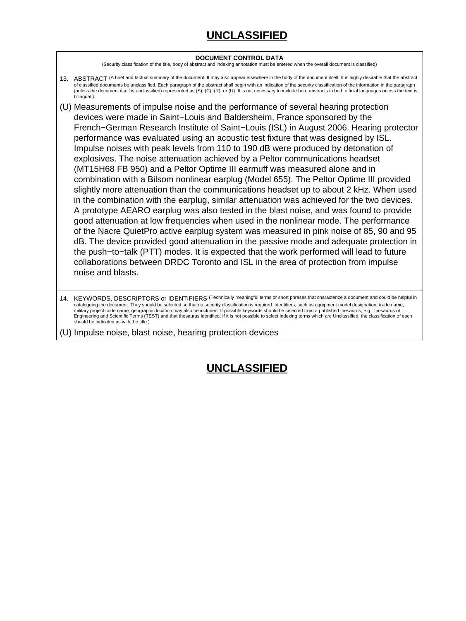## **UNCLASSIFIED**

#### **DOCUMENT CONTROL DATA**

(Security classification of the title, body of abstract and indexing annotation must be entered when the overall document is classified)

- 13. ABSTRACT (A brief and factual summary of the document. It may also appear elsewhere in the body of the document itself. It is highly desirable that the abstract of classified documents be unclassified. Each paragraph of the abstract shall begin with an indication of the security classification of the information in the paragraph (unless the document itself is unclassified) represented as (S), (C), (R), or (U). It is not necessary to include here abstracts in both official languages unless the text is bilingual.)
- (U) Measurements of impulse noise and the performance of several hearing protection devices were made in Saint−Louis and Baldersheim, France sponsored by the French−German Research Institute of Saint−Louis (ISL) in August 2006. Hearing protector performance was evaluated using an acoustic test fixture that was designed by ISL. Impulse noises with peak levels from 110 to 190 dB were produced by detonation of explosives. The noise attenuation achieved by a Peltor communications headset (MT15H68 FB 950) and a Peltor Optime III earmuff was measured alone and in combination with a Bilsom nonlinear earplug (Model 655). The Peltor Optime III provided slightly more attenuation than the communications headset up to about 2 kHz. When used in the combination with the earplug, similar attenuation was achieved for the two devices. A prototype AEARO earplug was also tested in the blast noise, and was found to provide good attenuation at low frequencies when used in the nonlinear mode. The performance of the Nacre QuietPro active earplug system was measured in pink noise of 85, 90 and 95 dB. The device provided good attenuation in the passive mode and adequate protection in the push−to−talk (PTT) modes. It is expected that the work performed will lead to future collaborations between DRDC Toronto and ISL in the area of protection from impulse noise and blasts.
- 14. KEYWORDS, DESCRIPTORS or IDENTIFIERS (Technically meaningful terms or short phrases that characterize a document and could be helpful in cataloguing the document. They should be selected so that no security classification is required. Identifiers, such as equipment model designation, trade name, military project code name, geographic location may also be included. If possible keywords should be selected from a published thesaurus, e.g. Thesaurus of Engineering and Scientific Terms (TEST) and that thesaurus identified. If it is not possible to select indexing terms which are Unclassified, the classification of each should be indicated as with the title.)

(U) Impulse noise, blast noise, hearing protection devices

# **UNCLASSIFIED**